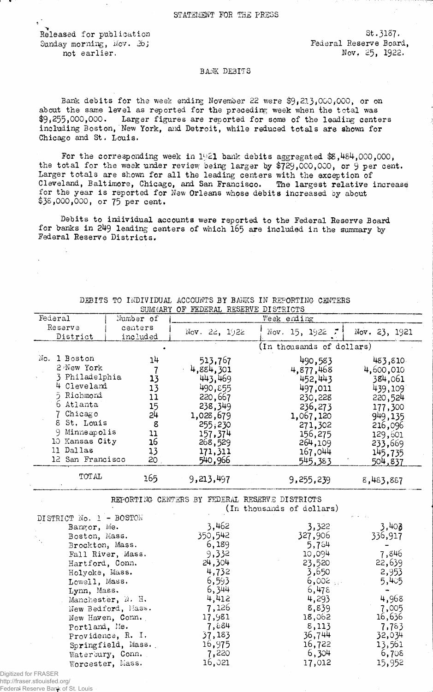Released for publication  $St.3187$ . Sunday morning, Nov. 26; extending the serve Board,

not earlier. Nov. 25, 1922.

## BAi® DEBITS

Bank debits for the week ending November 22 were  $$9,213,000,000$ , or on about the same level as reported for the preceding week when the total was  $$9,255,000,000$ . Larger figures are reported for some of the leading centers including Boston, New York, and Detroit, while reduced totals are shown for Chicago and St. Louis.

For the corresponding week in 1921 bank debits aggregated  $$8,484,000,000$ , the total for the week under review being larger by \$729,000,000, or 9 per cent. Larger totals are shown for all the leading centers with the exception of Cleveland, Baltimore, Chicago, and San Francisco. The largest relative increase for the year is reported for New Orleans whose debits increased by about \$38,000,000, or 75 per cent.

Debits to individual accounts were reported to the Federal Reserve Board for banks in 249 leading centers of which 165 are included in the summary by Federal Reserve Districts,

| SUMMARY OF FEDERAL RESERVE DISTRICTS |                          |                                                |                           |                 |
|--------------------------------------|--------------------------|------------------------------------------------|---------------------------|-----------------|
| Federal                              | Number of<br>Week ending |                                                |                           |                 |
| Resarve                              | centers                  |                                                |                           |                 |
| District                             | included                 | Nov. $22, 1922$                                | Nov. 15, 1922 7           | Nov. 23, 1921   |
|                                      |                          |                                                | (In thousands of dollars) |                 |
| No. 1 Boston                         | 14                       | 513,767                                        | 490,583                   | 483,810         |
| 2 New York                           | $\overline{1}$           | 4,884,301                                      | 4,877,468                 | 4,600,010       |
| 3 Philadelphia                       | 13                       | 443,469                                        | 452,443                   | 384,061         |
| 4 Cleveland                          | 13                       | 490,855                                        | 497,011                   | 439,109         |
| 5 Richmond                           | 11                       | 220,667                                        | 230,228                   | 220,524         |
| 6 Atlanta                            | 15                       | 238,349                                        | 236,273                   | 177,300         |
| 7 Chicago                            | 24                       | 1,028,679                                      | 1,067,120                 | 949,135         |
| 8 St. Louis                          | 8                        | 255,230                                        | 271,302                   | 216,096         |
| 9 Minneapolis                        | 11                       | 157,374                                        | 156,275                   | 129,601         |
| 10 Kansas City                       | 16                       | 268,529                                        | 264,109                   | 233,669         |
| 11 Dallas                            | 13                       | 171,311                                        | 167,044                   | 145,735         |
| 12 San Francisco                     | 20 .                     | 540,966                                        | 545,383                   | 504,837         |
| TOTAL                                |                          |                                                |                           |                 |
|                                      | 165                      | 9,213,497                                      | 9, 255, 239               | 8,483,887       |
|                                      |                          | REPORTING CENTERS BY FEDERAL RESERVE DISTRICTS |                           |                 |
|                                      |                          |                                                | (In thousands of dollars) |                 |
| DISTRICT No. 1 - BOSTON              |                          |                                                |                           |                 |
| Bangor, Me.                          |                          | 3,462                                          | 3,322                     | 3,403           |
| Boston, Mass.                        |                          | 350,542                                        | 327,906                   | 336,917         |
| Brockton, Mass.                      |                          | 6,189                                          | 5,754                     |                 |
| Fall River, Mass.                    |                          | 9,332                                          | 10,094                    | 7,846           |
| Hartford, Conn.                      |                          | 24,304                                         | 23,520                    | 22,639          |
| Holyoke, Mass.                       |                          | 4,732                                          | 3,650                     | 2,953           |
| Lowell, Mass.                        |                          | 6,593                                          | $6,002$                   | 5,405           |
| Lynn, Mass.                          |                          | 6,344                                          | 6,478                     |                 |
| Manchester, N. H.                    |                          | 4,412                                          | 4,293                     | 4,968           |
| New Bedford, Mass.                   |                          | 7,126                                          | 8,839                     | 7,005           |
| New Haven, Conn.                     |                          | 17,981                                         | 18,062                    | 16,636          |
| Portland, Me.                        |                          | 7,884                                          | 8,113                     | 7,783           |
| Providence, R. I.                    |                          | 37,183                                         | 36,744                    | 32,034          |
| Springfield, Mass.                   |                          |                                                |                           |                 |
|                                      |                          | 16,975                                         | 16,722                    | 13,561          |
|                                      | Waterbury, Conn.         | 7,220<br>16,021                                | 6,304<br>17,012           | 6,708<br>15,952 |

DEBITS TO INDIVIDUAL ACCOUNTS BY BANKS IN REPORTING CENTERS

Digitized for FRASER http://fraser.stlouisfed.org/ Federal Reserve Bank of St. Louis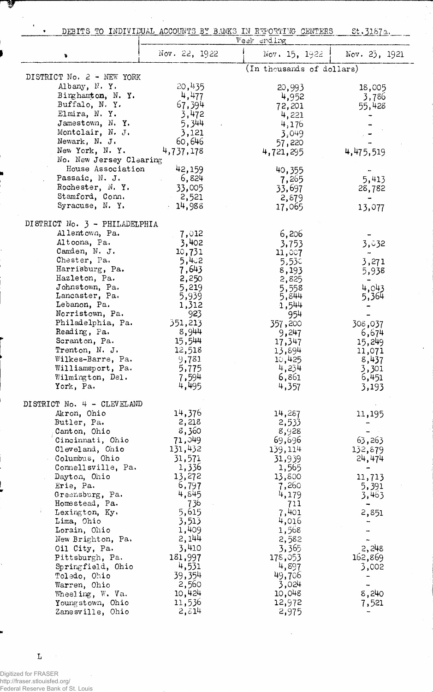| $\epsilon$                                         |                             | DEBITS TO INDIVIDUAL ACCOUNTS BY BANKS IN REPORTING CENTERS<br>Week ending | <u>St.3187a.</u> |
|----------------------------------------------------|-----------------------------|----------------------------------------------------------------------------|------------------|
| ٠                                                  | Nov. 22, 1922               | Nov. 15, 1922                                                              | Nov. 23, 1921    |
|                                                    |                             | (In thousands of dollars)                                                  |                  |
| DISTRICT No. 2 - NEW YORK                          |                             |                                                                            |                  |
| Albany, $N. Y.$                                    | 20,435                      | 20,993                                                                     | 18,005           |
| Birghamton, N.Y.<br>Buffalo, N.Y.                  | 4,477<br>67,394             | 4,952                                                                      | 3,786            |
| Elmira, N.Y.                                       | 3,472                       | 72,201<br>4,221                                                            | 55,428           |
| Jamestown, N.Y.                                    | 5,344                       | 4,176                                                                      |                  |
| Montclair, N. J.                                   | 3,121                       | 3,049                                                                      |                  |
| Newark, N. J.                                      | 60,646                      | 57,220                                                                     |                  |
| New York, N.Y.                                     | 4,737,178                   | 4,721,295                                                                  | 4,475,519        |
| No. New Jersey Clearing                            |                             |                                                                            |                  |
| House Association                                  | 42,159                      | 40,355                                                                     |                  |
| Passaic, N. J.                                     | 6,824                       | 7,265                                                                      | 5,413            |
| Rochester, N.Y.<br>Stamford, Conn.                 | 33,005<br>2,521             | 33,697                                                                     | 28,782           |
| Syracuse, N.Y.                                     | $-14,988$                   | 2,879<br>17,065                                                            | 13,077           |
|                                                    |                             |                                                                            |                  |
| DISTRICT No. 3 - PHILADELPHIA                      |                             |                                                                            |                  |
| Allentown, Pa.                                     | 7,012                       | 6,206                                                                      |                  |
| Altoona, Pa.<br>Camden, N. J.                      | 3,402<br>10,731             | 3,753                                                                      | 3,032            |
| Chester, Pa.                                       | 5,4c2                       | 11,007<br>5,53c                                                            | 3,271            |
| Harrisburg, Pa.                                    | 7,643                       | 8,193                                                                      | 5,938            |
| Hazleton, Pa.                                      | 2,250                       | 2,825                                                                      |                  |
| Johnstown, Pa.                                     | 5,219                       | 5,558                                                                      | 4,043            |
| Lancaster, Pa.                                     | 5,939                       | 5,844                                                                      | 5,364            |
| Lebanon, Pa.                                       | 1,312                       | 1,544                                                                      |                  |
| Norristown, Pa.<br>Philadelphia, Pa.               | 923<br>351,213              | 954<br>357,200                                                             |                  |
| Reading, Pa.                                       | 8,944                       | 9,247                                                                      | 308,037<br>6,674 |
| Scranton, Pa.                                      | 15,544                      | 17,347                                                                     | 15,249           |
| Trenton, N. J.                                     | 12,518                      | 13,894                                                                     | 11,071           |
| Wilkes-Barre, Pa.                                  | 9,781                       | 10,425                                                                     | 8,437            |
| Williamsport, Pa.                                  | 5,775                       | 4,234                                                                      | 3,301            |
| Wilmington, Del.                                   | 7,594                       | 6,861                                                                      | 6,451            |
| York, Pa.                                          | 4,495                       | 4,357                                                                      | 3,193            |
| DISTRICT No. 4 - CLEVELAND                         |                             |                                                                            |                  |
| Akron, Ohio                                        | 14,376                      | 14,287                                                                     | 11,195           |
| Butler, Pa.                                        | 2,218                       | 2,533                                                                      |                  |
| Canton, Ohio<br>Cincinnati, Ohio                   | 8,360<br>71,049             | 8,928<br>69,696                                                            | 63,263           |
| Cleveland, Onio                                    | 131,432                     | 139,114                                                                    | 132,879          |
| Columbus, Ohio                                     | 31,571                      | 31,939                                                                     | 24,474           |
| Connellsville, Pa.                                 | 1,336                       | 1,565                                                                      |                  |
| Dayton, Ohio                                       | 13,272                      | 13,800                                                                     | 11,713           |
| Erie, Pa.                                          | 6,797                       | 7,260                                                                      | 5,391            |
| Greensburg, Pa.                                    | 4,845                       | 4,179                                                                      | 3,463            |
| Homestead, Pa.<br>$\mathbb{F}_2$<br>Lexington, Ky. | 736<br>5,615                | 711<br>7,401                                                               | 2,851            |
| Lima, Ohio                                         | 3,513                       | 4,016                                                                      |                  |
| Lorain, Ohio                                       | 1,409                       | 1,568                                                                      |                  |
| New Brighton, Pa.                                  | 2,144                       | 2,582                                                                      |                  |
| Oil City, Pa.                                      | 3,410                       | 3,365                                                                      | 2,248            |
| Pittsburgh, Pa.                                    | 181,997                     | 178,053                                                                    | 162,869          |
| Springfield, Ohio                                  | 4,531                       | 4,897                                                                      | 3,002            |
| Toledo, Ohio                                       | 39,354                      | 49,706                                                                     |                  |
| Warren, Ohio<br>Wheeling, W. Va.                   | 2,560<br>10,424             | 3,024<br>10,048                                                            | 8,240            |
| Youngstown, Ohio                                   | 11,536                      | 12,972                                                                     | 7,521            |
| Zanesville, Ohio                                   | $2, \tilde{\varepsilon}$ 14 | 2,975                                                                      |                  |

 $\bar{\beta}$  $\mathbb{R}^2$ 

ţ.

博

Digitized for FRASER http://fraser.stlouisfed.org/ Federal Reserve Bank of St. Louis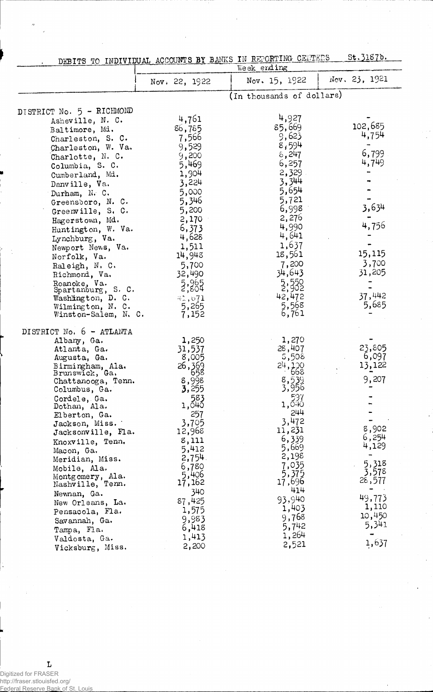|                                      |                          | DEBITS TO INDIVIDUAL ACCOUNTS BY BANKS IN REPORTING CELTERS<br>Week ending | 50.21010.     |
|--------------------------------------|--------------------------|----------------------------------------------------------------------------|---------------|
|                                      |                          |                                                                            |               |
|                                      | Nov. 22, 1922            | Nov. 15, 1922                                                              | Nov. 23, 1921 |
|                                      |                          | (In thousands of dollars)                                                  |               |
| DISTRICT No. 5 - RICHMOND            |                          |                                                                            |               |
| Asheville, N. C.                     | 4,761                    | 4,927                                                                      |               |
| Baltimore, Md.                       | 86,785                   | 85,669                                                                     | 102,685       |
| Charleston, S. C.                    | 7,566                    | 9,623                                                                      | 4,754         |
|                                      | 9,529                    | 8,594                                                                      |               |
| Charleston, W. Va.                   | 9,200                    | 8,247                                                                      | 6,799         |
| Charlotte, N. C.                     | 5,469                    | 6,257                                                                      | 4,749         |
| Columbia, S. C.                      |                          | 2,329                                                                      |               |
| Cumberland, Md.                      | 1,904                    | 3,344                                                                      |               |
| Danville, Va.                        | 3,224                    | 5,654                                                                      |               |
| Durham, N. C.                        | 5,000                    |                                                                            |               |
| Greensboro, N. C.                    | 5,346                    | 5,721                                                                      | 3,634         |
| Greenville, S. C.                    | 5,200                    | 6,998                                                                      |               |
| Hagerstown, Md.                      | 2,170                    | 2,276                                                                      |               |
| Huntington, W. Va.                   | 6,373                    | 4,990                                                                      | 4,756         |
| Lynchburg, Va.                       | 4,628                    | 4,641                                                                      |               |
| Newport News, Va.                    | 1,511                    | 1,637                                                                      |               |
| Norfolk, Va.                         | 14,948                   | 18,561                                                                     | 15,115        |
| Raleigh, N. C.                       | 5,700                    | 7,200                                                                      | 3,700         |
| Richmond, Va.                        | 32,490                   | 34,643                                                                     | 31,205        |
| Roanoke, Va.                         | 2,865                    | $\frac{5}{2}, \frac{550}{302}$                                             |               |
| Spartanburg, S. C.                   |                          |                                                                            | 37,442        |
| Washington, D. C.                    | 41,671                   | 42,472                                                                     |               |
| Wilmington, N. C.                    | 5,265                    | 5,568<br>6,761                                                             | 5,685         |
| Winston-Salem, N. C.                 | 7,152                    |                                                                            |               |
| DISTRICT No. 6 - ATLANTA             |                          |                                                                            |               |
| Albany, Ga.                          | 1,250                    | 1,270                                                                      |               |
| Atlanta, Ga.                         | 31,537                   | 28,407                                                                     | 23,805        |
| Augusta, Ga.                         | 8,005                    | 5,508                                                                      | 6,097         |
| Birmingham, Ala.                     | 26,369                   | 24,100                                                                     | 13,122        |
| Brunswick, Ga.                       | 658                      | 668                                                                        |               |
| Chattanooga, Tenn.                   | $8,998$<br><b>3</b> ,255 | 8,539<br>3,956                                                             | 9,207         |
| Columbus, Ga.                        |                          | 597                                                                        |               |
| Cordele, Ga.                         | 583<br>1,646             | 1,640                                                                      |               |
| Dothan, Ala.                         | 257                      | 244                                                                        |               |
| Elberton, Ga.                        | 3,705                    | 3,472                                                                      |               |
| Jackson, Miss.                       | 12,968                   | 11,231                                                                     | 8,902         |
| Jacksonville, Fla.                   | 8,111                    | 6,339                                                                      | 6,254         |
| Knoxville, Tenn.                     | 5,412                    | 5,669                                                                      | 4,129         |
| Macon, Ga.                           | 2,754.                   | 2,198                                                                      |               |
| Meridian, Miss.                      | 6,780                    | 7,035                                                                      | 5,318         |
| Mobile, Ala.                         | 5,406                    | 5,375                                                                      | 3,578         |
| Montgomery, Ala.<br>Nashville, Tenn. | 17,162                   | 17,696                                                                     | 28,577        |
| Newnan, Ga.                          | 340                      | 414                                                                        |               |
| New Orleans, La.                     | 87,425                   | 93,940                                                                     | 49,773        |
|                                      | 1,575                    | 1,403                                                                      | 1,110         |
| Pensacola, Fla.                      | 9,983                    | 9,768                                                                      | 10,450        |
| Savannah, Ga.                        | 6,418                    | 5,742                                                                      | 5,341         |
| Tampa, Fla.                          | 1,413                    | 1,264                                                                      |               |
| Valdosta, Ga.                        | 2,200                    | 2,521                                                                      | 1,637         |
| Vicksburg, Miss.                     |                          |                                                                            |               |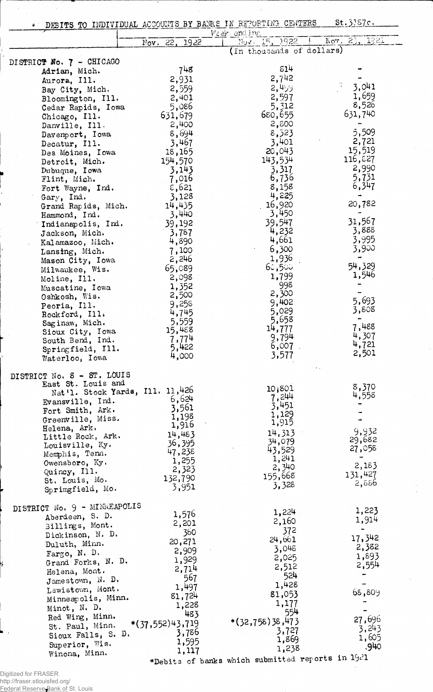| . DEBITS TO INDIVIDUAL ACCOUNTS BY BANKS IN REPORTING CEMTERS |                     |                                                  | St.3.57c.                   |
|---------------------------------------------------------------|---------------------|--------------------------------------------------|-----------------------------|
|                                                               |                     | Week ending                                      | $\overline{N}$ ov. 23, 1921 |
|                                                               | 22, 1922<br>$Nov$ . | Nov. 15, 1922<br>(In thousands of dollars)       |                             |
|                                                               |                     |                                                  |                             |
| DISTRICT No. 7 - CHICAGO                                      | 748                 | 514                                              |                             |
| Adrian, Mich.<br>Aurora, Ill.                                 | 2,931               | 2,742                                            |                             |
| Bay City, Mich.                                               | 2,559               | 2,455                                            | 3,041                       |
| Bloomington, Ill.                                             | 2,401               | 2,597                                            | 1,659                       |
| Cedar Rapids, Iowa                                            | 5,086               | 5,312                                            | 8,526                       |
| Chicago, Ill.                                                 | 631,679             | 680,655                                          | 631,740                     |
| Danville, Ill.                                                | 2,400               | 2,800                                            |                             |
| Davemport, Iowa                                               | 8,694               | 8,523                                            | 5,509                       |
| Decatur, Ill.                                                 | 3,467               | 3,401                                            | 2,721                       |
| Des Moines, Iowa                                              | 18,165              | 20,043                                           | 15,519                      |
| Detroit, Mich.                                                | 154,570             | 143,534                                          | 116,827                     |
| Dubuque, Iowa                                                 | 3,143               | 3,317                                            | 2,990                       |
| Flint, Mich.                                                  | 7,016               | 6,736                                            | 5,731                       |
| Fort Wayne, Ind.                                              | $\epsilon$ ,621     | 8,158                                            | 6,347                       |
| $\texttt{Gary, Ind.}$                                         | 3,128               | 4,225                                            |                             |
| Grand Rapids, Mich.                                           | 14,435              | 16,920                                           | 20,782                      |
| Hammond, Ind.                                                 | 3,440               | 3,450<br>39,547                                  | 31,567                      |
| Indianapolis, Ind.                                            | 39,192              | 4,232                                            | 3,888                       |
| Jackson, Mich.                                                | 3,787<br>4,890      | 4,661                                            | 3,995                       |
| Kalamazoo, Mich.                                              | 7,100               | 6,300                                            | 3,900                       |
| Lansing, Mich.<br>Mason City, Iowa                            | 2,246               | 1,936                                            |                             |
| Milwaukee, Wis.                                               | 65,089              | 60,500                                           | 54,329                      |
| Moline, Ill.                                                  | 2,098               | 1,799                                            | 1,546                       |
| Muscatine, Iowa                                               | 1,352               | 998                                              |                             |
| Oshkosh, Wis.                                                 | 2,500               | 2,300                                            |                             |
| Peoria, Ill.                                                  | 9,258               | 9,402                                            | 5,693<br>3,808              |
| Rockford, Ill.                                                | 4,745               | 5,029                                            |                             |
| Saginaw, Mich.                                                | 5,559               | 5,658<br>14,777                                  | 7,488                       |
| Sioux City, Iowa                                              | 15,488<br>7,774     | 9,794                                            | 4,307                       |
| South Bend, Ind.                                              | 5,422               | 6,007                                            | 4,721                       |
| Springfield, Ill.<br>Waterloo, Iowa                           | 4,000               | 3,577                                            | 2,501                       |
|                                                               |                     |                                                  |                             |
| DISTRICT No. 8 - ST. LOUIS                                    |                     |                                                  |                             |
| East St. Louis and                                            |                     | 10,801                                           | 8,370                       |
| Nat'l. Stock Yards, Ill. 11,426                               |                     | 7,244                                            | 4,558                       |
| Evansville, Ind.                                              | 6,624               | 3,451                                            |                             |
| Fort Smith, Ark.                                              | 3,561<br>1,198      | 1,129                                            |                             |
| Greenville, Miss.                                             | 1,916               | 1,915                                            |                             |
| Helena, Ark.                                                  | 14,483              | 14,313                                           | 9,932                       |
| Little Rock, Ark.<br>Louisville, Ky.                          | 36,395              | 34,079                                           | 29,682                      |
| Memphis, Tenn.                                                | 47,238              | 43,529                                           | 27,058                      |
| Owensboro, Ky.                                                | 1,255               | 1,241                                            |                             |
| Quincy, Ill.                                                  | 2,323               | 2,340                                            | 2,183<br>131,427            |
| St. Louis, Mo.                                                | 132,790             | 155,668                                          | 2,886                       |
| Sprimgfield, Mo.                                              | 3,951               | 3,328                                            |                             |
|                                                               |                     |                                                  |                             |
| DISTRICT No. 9 - MINNEAPOLIS                                  | 1,576               | 1,224                                            | 1,223                       |
| Aberdeen, S. D.<br>Billings, Mont.                            | 2,201               | 2,160                                            | 1,914                       |
| Dickinson, N. D.                                              | 360                 | 372                                              |                             |
| Duluth, Minn.                                                 | 20,271              | 24,661                                           | 17,342                      |
| Fargo, $N$ . D.                                               | 2,909               | 3,048                                            | 2,382                       |
| Grand Forks, N. D.                                            | 1,929               | 2,025                                            | 1,893                       |
| Helena, Mont.                                                 | 2,714               | 2,512                                            | 2,554                       |
| Jamestown, N. D.                                              | 567                 | 524                                              |                             |
| Lewistown, Mont.                                              | 1,497               | 1,428                                            | 68,809                      |
| Minneapolis, Minn.                                            | 81,724              | 81,053                                           |                             |
| Minot, N. D.                                                  | 1,228               | 1,177<br>554                                     |                             |
| Red Wing, Minn.                                               | 483                 | *(32,758)38,473                                  | 27,696                      |
| St. Paul, Minn.                                               | $*(37, 552)$ 43,719 | 3,727                                            | 3,243                       |
| Sioux Falls, S. D.                                            | 3,786<br>1,595      | 1,869                                            | 1,605                       |
| Superior, Wis.                                                | 1,117               | 1,238                                            | .940                        |
| Winona, Minn.                                                 |                     | *Debits of banks which submitted reports in 1921 |                             |

 $\overline{\phantom{a}}$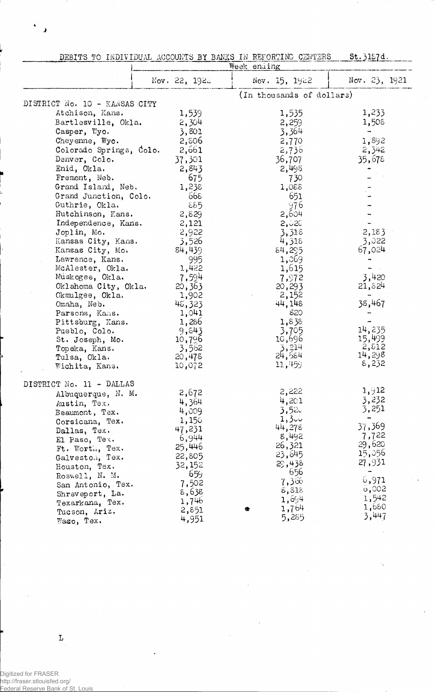DEBITS TO INDIVIDUAL ACCOUNTS BY BANKS IN REPORTING CENTERS St. 3157d.

|                               | Week ending   |                           |                          |
|-------------------------------|---------------|---------------------------|--------------------------|
|                               | Nov. 22, 1924 | Nov. 15, 1922             | Nov. $2\tilde{)}$ , 1921 |
|                               |               | (In thousands of dollars) |                          |
| DISTRICT No. 10 - KANSAS CITY |               |                           |                          |
| Atchison, Kans.               | 1,539         | 1,535                     | 1,233                    |
| Bartlesville, Okla.           | 2,304.        | 2,259                     | 1,508                    |
| Casper, Wyo.                  | 3,801         | 3,364                     | -                        |
| Cheyenne, Wyo.                | 2,806         | 2,770                     | 1,892                    |
| Colorado Springs, Colo.       | 2,661         | 2,736                     | 2,342                    |
| Denver, Colo.                 | 37,301        | 36,707                    | 35,678                   |
| Enid, Okla.                   | 2,843         | 2,498                     |                          |
| Fremont, Neb.                 | 675           | 730                       |                          |
| Grand Island, Neb.            | 1,238         | 1,088                     |                          |
|                               | 668           |                           |                          |
| Grand Junction, Colo.         |               | 651                       |                          |
| Guthrie, Okla.                | 885           | 976                       |                          |
| Hutchinson, Kans.             | 2,829         | 2,604                     |                          |
| Independence, Kans.           | 2,121         | 2,020                     |                          |
| Joplin, Mo.                   | 2,922         | 3,318                     | 2,183                    |
| Kansas City, Kans.            | 3,526         | 4,318                     | 3,022                    |
| Kansas City, Mo.              | 84,439        | 84,295                    | 67,024                   |
| Lawrence, Kans.               | 995           | 1,069                     |                          |
| McAlester, Okla.              | 1,422         | 1,615                     |                          |
| Muskogee, Okla.               | 7,594         | 7,972                     | 3,420                    |
| Oklahoma City, Okla.          | 20,363        | 20,293                    | 21,324                   |
| Okmulgee, Okla.               | 1,902         | 2,152                     |                          |
| Omaha, Neb.                   | 48,323        | 44,148                    | 38,467                   |
| Parsons, Kans.                | 1,041         | 820                       |                          |
| Pittsburg, Kans.              | 1,286         | 1,838                     |                          |
| Pueblo, Colo.                 | 9,843         | 3,705                     | 14,235                   |
| St. Joseph, Mo.               | 10,796        | 10,696                    | 15,499                   |
| Topeka, Kans.                 | 3,562         | 3,214                     | 2,812                    |
| Tulsa, Okla.                  | 20,478        | 24,584                    | 14,298                   |
| Wichita, Kans.                | 10,072        | 11,459                    | 8,232                    |
|                               |               |                           |                          |
| DISTRICT No. 11 - DALLAS      |               |                           |                          |
| Albuquerque, N. M.            | 2,672         | 2,222                     | 1,912                    |
| Austin, Tex.                  | 4,364         | 4,201                     | 3,232                    |
| Beaumont, Tex.                | 4,009         | 3,520                     | 3,251                    |
| Corsicana, Tex.               | 1,150         | $1,3$ vu                  |                          |
| Dallas, Tex.                  | 47,231        | 44,278                    | 37,369                   |
| El Paso, Tex.                 | 6,944         | 8,492                     | 7,722                    |
| Ft. Worth, Tex.               | 25,446        | 26,321                    | 29,620                   |
| Galveston, Tex.               | 22,805        | 23,645                    | 15,056                   |
| Houston, Tex.                 | 32,152        | 29,438                    | 27,931                   |
| Roswell, N. M.                | 659           | 656                       |                          |
|                               | 7,502         | 7,306                     | 6,971                    |
| San Antonio, Tex.             | 8,638         | 8,818                     | $\circ$ ,002             |
| Shreveport, La.               | 1,746         | 1,694                     | 1,542                    |
| Texarkana, Tex.               |               | 1,764                     | 1,680                    |
| Tueson, Ariz.                 | 2,851         | 5,285                     | 3,447                    |
| Waco, Tex.                    | 4,951         |                           |                          |

L

Digitized for FRASER http://fraser.stlouisfed.org/ Federal Reserve Bank of St. Louis

*J* t